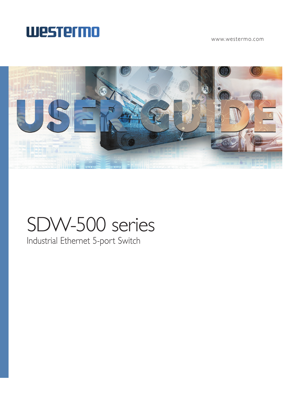

www.westermo.com



# SDW-500 series

Industrial Ethernet 5-port Switch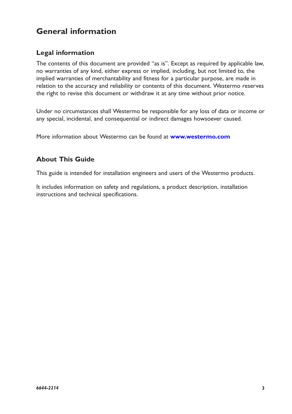# **General information**

# **Legal information**

The contents of this document are provided "as is". Except as required by applicable law, no warranties of any kind, either express or implied, including, but not limited to, the implied warranties of merchantability and fitness for a particular purpose, are made in relation to the accuracy and reliability or contents of this document. Westermo reserves the right to revise this document or withdraw it at any time without prior notice.

Under no circumstances shall Westermo be responsible for any loss of data or income or any special, incidental, and consequential or indirect damages howsoever caused.

More information about Westermo can be found at **www.westermo.com**

# **About This Guide**

This guide is intended for installation engineers and users of the Westermo products.

It includes information on safety and regulations, a product description, installation instructions and technical specifications.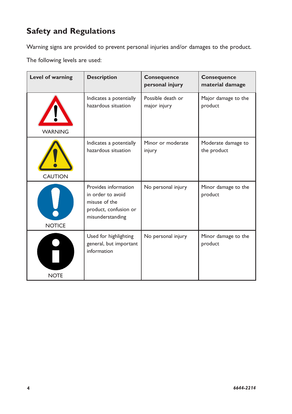# **Safety and Regulations**

Warning signs are provided to prevent personal injuries and/or damages to the product.

The following levels are used:

| Level of warning | <b>Description</b>                                                                                      | <b>Consequence</b><br>personal injury | <b>Consequence</b><br>material damage |
|------------------|---------------------------------------------------------------------------------------------------------|---------------------------------------|---------------------------------------|
| <b>WARNING</b>   | Indicates a potentially<br>hazardous situation                                                          | Possible death or<br>major injury     | Major damage to the<br>product        |
| <b>CAUTION</b>   | Indicates a potentially<br>hazardous situation                                                          | Minor or moderate<br>injury           | Moderate damage to<br>the product     |
| <b>NOTICE</b>    | Provides information<br>in order to avoid<br>misuse of the<br>product, confusion or<br>misunderstanding | No personal injury                    | Minor damage to the<br>product        |
| <b>NOTE</b>      | Used for highlighting<br>general, but important<br>information                                          | No personal injury                    | Minor damage to the<br>product        |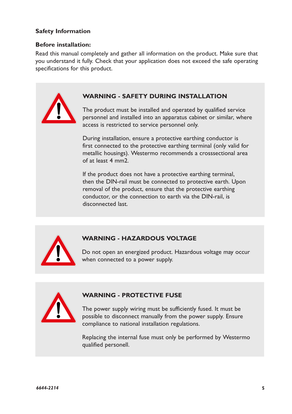# **Safety Information**

#### **Before installation:**

Read this manual completely and gather all information on the product. Make sure that you understand it fully. Check that your application does not exceed the safe operating specifications for this product.



# **WARNING - SAFETY DURING INSTALLATION**

The product must be installed and operated by qualified service personnel and installed into an apparatus cabinet or similar, where access is restricted to service personnel only.

During installation, ensure a protective earthing conductor is first connected to the protective earthing terminal (only valid for metallic housings). Westermo recommends a crosssectional area of at least 4 mm2.

If the product does not have a protective earthing terminal, then the DIN-rail must be connected to protective earth. Upon removal of the product, ensure that the protective earthing conductor, or the connection to earth via the DIN-rail, is disconnected last.



#### **WARNING - HAZARDOUS VOLTAGE**

Do not open an energized product. Hazardous voltage may occur when connected to a power supply.



#### **WARNING - PROTECTIVE FUSE**

The power supply wiring must be sufficiently fused. It must be possible to disconnect manually from the power supply. Ensure compliance to national installation regulations.

Replacing the internal fuse must only be performed by Westermo qualified personell.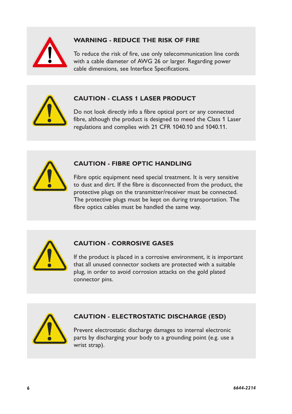

# **WARNING - REDUCE THE RISK OF FIRE**

To reduce the risk of fire, use only telecommunication line cords with a cable diameter of AWG 26 or larger. Regarding power cable dimensions, see Interface Specifications.



# **CAUTION - CLASS 1 LASER PRODUCT**

Do not look directly info a fibre optical port or any connected fibre, although the product is designed to meed the Class 1 Laser regulations and complies with 21 CFR 1040.10 and 1040.11.



# **CAUTION - FIBRE OPTIC HANDLING**

Fibre optic equipment need special treatment. It is very sensitive to dust and dirt. If the fibre is disconnected from the product, the protective plugs on the transmitter/receiver must be connected. The protective plugs must be kept on during transportation. The fibre optics cables must be handled the same way.



# **CAUTION - CORROSIVE GASES**

If the product is placed in a corrosive environment, it is important that all unused connector sockets are protected with a suitable plug, in order to avoid corrosion attacks on the gold plated connector pins.



# **CAUTION - ELECTROSTATIC DISCHARGE (ESD)**

Prevent electrostatic discharge damages to internal electronic parts by discharging your body to a grounding point (e.g. use a wrist strap).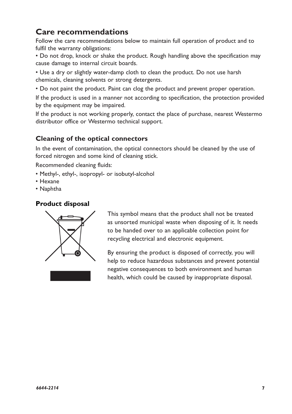# **Care recommendations**

Follow the care recommendations below to maintain full operation of product and to fulfil the warranty obligations:

• Do not drop, knock or shake the product. Rough handling above the specification may cause damage to internal circuit boards.

• Use a dry or slightly water-damp cloth to clean the product. Do not use harsh chemicals, cleaning solvents or strong detergents.

• Do not paint the product. Paint can clog the product and prevent proper operation.

If the product is used in a manner not according to specification, the protection provided by the equipment may be impaired.

If the product is not working properly, contact the place of purchase, nearest Westermo distributor office or Westermo technical support.

# **Cleaning of the optical connectors**

In the event of contamination, the optical connectors should be cleaned by the use of forced nitrogen and some kind of cleaning stick.

Recommended cleaning fluids:

- Methyl-, ethyl-, isopropyl- or isobutyl-alcohol
- Hexane
- Naphtha

# **Product disposal**



This symbol means that the product shall not be treated as unsorted municipal waste when disposing of it. It needs to be handed over to an applicable collection point for recycling electrical and electronic equipment.

By ensuring the product is disposed of correctly, you will help to reduce hazardous substances and prevent potential negative consequences to both environment and human health, which could be caused by inappropriate disposal.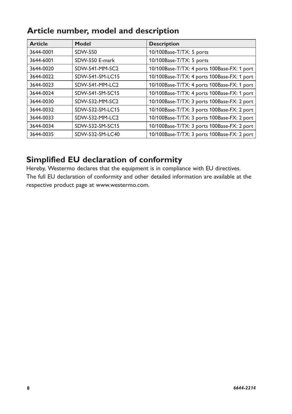| Article number, model and description |  |  |  |  |  |
|---------------------------------------|--|--|--|--|--|
|---------------------------------------|--|--|--|--|--|

| <b>Article</b> | Model           | <b>Description</b>                          |
|----------------|-----------------|---------------------------------------------|
| 3644-0001      | SDW-550         | 10/100Base-T/TX: 5 ports                    |
| 3644-6001      | SDW-550 E-mark  | 10/100Base-T/TX: 5 ports                    |
| 3644-0020      | SDW-541-MM-SC2  | 10/100Base-T/TX: 4 ports 100Base-FX: 1 port |
| 3644-0022      | SDW-541-SM-LC15 | 10/100Base-T/TX: 4 ports 100Base-FX: 1 port |
| 3644-0023      | SDW-541-MM-LC2  | 10/100Base-T/TX: 4 ports 100Base-FX: 1 port |
| 3644-0024      | SDW-541-SM-SC15 | 10/100Base-T/TX: 4 ports 100Base-FX: 1 port |
| 3644-0030      | SDW-532-MM-SC2  | 10/100Base-T/TX: 3 ports 100Base-FX: 2 port |
| 3644-0032      | SDW-532-SM-LC15 | 10/100Base-T/TX: 3 ports 100Base-FX: 2 port |
| 3644-0033      | SDW-532-MM-LC2  | 10/100Base-T/TX: 3 ports 100Base-FX: 2 port |
| 3644-0034      | SDW-532-SM-SC15 | 10/100Base-T/TX: 3 ports 100Base-FX: 2 port |
| 3644-0035      | SDW-532-SM-LC40 | 10/100Base-T/TX: 3 ports 100Base-FX: 2 port |

# **Simplified EU declaration of conformity**

Hereby, Westermo declares that the equipment is in compliance with EU directives. The full EU declaration of conformity and other detailed information are available at the respective product page at www.westermo.com.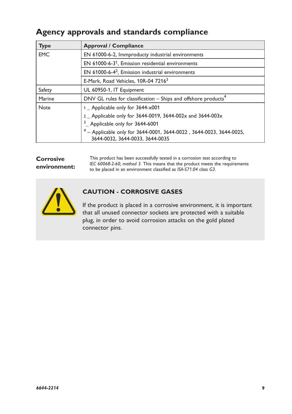# **Agency approvals and standards compliance**

| <b>Type</b> | <b>Approval / Compliance</b>                                                                             |  |
|-------------|----------------------------------------------------------------------------------------------------------|--|
| <b>EMC</b>  | EN 61000-6-2, Immproducty industrial environments                                                        |  |
|             | EN 61000-6-3 <sup>1</sup> , Emission residential environments                                            |  |
|             | EN 61000-6-4 <sup>2</sup> , Emission industrial environments                                             |  |
|             | E-Mark, Road Vehicles, 10R-04 72163                                                                      |  |
| Safety      | UL 60950-1, IT Equipment                                                                                 |  |
| Marine      | DNV GL rules for classification $-$ Ships and offshore products <sup>4</sup>                             |  |
| <b>Note</b> | 1 _ Applicable only for 3644-x001                                                                        |  |
|             | 2 Applicable only for 3644-0019, 3644-002x and 3644-003x                                                 |  |
|             | $3$ <sub>_</sub> Applicable only for 3644-6001                                                           |  |
|             | $4 -$ Applicable only for 3644-0001, 3644-0022, 3644-0023, 3644-0025,<br>3644-0032, 3644-0033, 3644-0035 |  |

## **Corrosive environment:**

This product has been successfully tested in a corrosion test according to *IEC 60068-2-60, method 3*. This means that the product meets the requirements to be placed in an environment classified as *ISA-S71.04 class G3*.



# **CAUTION - CORROSIVE GASES**

If the product is placed in a corrosive environment, it is important that all unused connector sockets are protected with a suitable plug, in order to avoid corrosion attacks on the gold plated connector pins.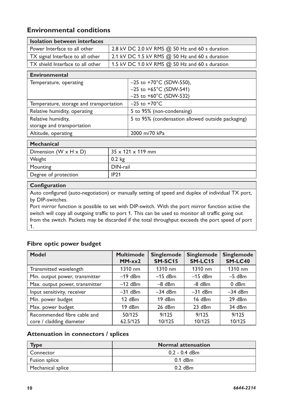# **Environmental conditions**

| <b>Isolation between interfaces</b> |                                                  |
|-------------------------------------|--------------------------------------------------|
| Power Interface to all other        | 2.8 kV DC 2.0 kV RMS $@$ 50 Hz and 60 s duration |
| TX signal Interface to all other    | 2.1 kV DC 1.5 kV RMS $@$ 50 Hz and 60 s duration |
| TX shield Interface to all other    | 1.5 kV DC 1.0 kV RMS @ 50 Hz and 60 s duration   |

| <b>Environmental</b>                    |                                                   |
|-----------------------------------------|---------------------------------------------------|
| Temperature, operating                  | $-25$ to +70°C (SDW-550),                         |
|                                         | $-25$ to $+65^{\circ}$ C (SDW-541)                |
|                                         | $-25$ to $+60^{\circ}$ C (SDW-532)                |
| Temperature, storage and transportation | $-25$ to $+70^{\circ}$ C                          |
| Relative humidity, operating            | 5 to 95% (non-condensing)                         |
| Relative humidity,                      | 5 to 95% (condensation allowed outside packaging) |
| storage and transportation              |                                                   |
| Altitude, operating                     | 2000 m/70 kPa                                     |
|                                         |                                                   |

| <b>Mechanical</b>                 |                                |
|-----------------------------------|--------------------------------|
| Dimension $(W \times H \times D)$ | $135 \times 121 \times 119$ mm |
| Weight                            | 0.2 kg                         |
| Mounting                          | DIN-rail                       |
| Degree of protection              | IP <sub>21</sub>               |
|                                   |                                |

#### **Configuration**

Auto configured (auto-negotiation) or manually setting of speed and duplex of individual TX port, by DIP-switches.

Port mirror function is possible to set with DIP-switch. With the port mirror function active the switch will copy all outgoing traffic to port 1. This can be used to monitor all traffic going out from the switch. Packets may be discarded if the total throughput exceeds the port speed of port 1.

# **Fibre optic power budget**

| Model                                                   | <b>Multimode</b><br>$MM-xx2$ | <b>Singlemode</b><br><b>SM-SC15</b> | <b>Singlemode</b><br>SM-LC15 | <b>Singlemode</b><br><b>SM-LC40</b> |
|---------------------------------------------------------|------------------------------|-------------------------------------|------------------------------|-------------------------------------|
| Transmitted wavelength                                  | $1310 \text{ nm}$            | $1310 \text{ nm}$                   | 1310 nm                      | 1310 nm                             |
| Min. output power, transmitter                          | $-19$ dBm                    | $-15$ dBm                           | $-15$ dBm                    | $-5$ dBm                            |
| Max. output power, transmitter                          | $-12$ dBm                    | $-8$ dBm                            | $-8$ dBm                     | $0$ dBm                             |
| Input sensitivity, receiver                             | $-31$ dBm                    | $-34$ dBm                           | $-31$ dBm                    | $-34$ dBm                           |
| Min. power budget                                       | 12 dBm                       | $19$ dBm                            | 16 dBm                       | 29 dBm                              |
| Max. power budget                                       | 19 dBm                       | 26 dBm                              | $23$ dBm                     | 34 dBm                              |
| Recommended fibre cable and<br>core / cladding diameter | 50/125<br>62.5/125           | 9/125<br>10/125                     | 9/125<br>10/125              | 9/125<br>10/125                     |

#### **Attenuation in connectors / splices**

| <b>Type</b>                | <b>Normal attenuation</b> |
|----------------------------|---------------------------|
| Connector                  | 0.2 - 0.4 dBm             |
| <sup>1</sup> Fusion splice | $0.1$ dBm                 |
| Mechanical splice          | $0.2$ dBm                 |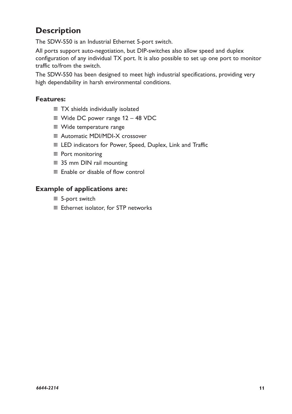# **Description**

The SDW-550 is an Industrial Ethernet 5-port switch.

All ports support auto-negotiation, but DIP-switches also allow speed and duplex configuration of any individual TX port. It is also possible to set up one port to monitor traffic to/from the switch.

The SDW-550 has been designed to meet high industrial specifications, providing very high dependability in harsh environmental conditions.

# **Features:**

- … TX shields individually isolated
- … Wide DC power range 12 48 VDC
- … Wide temperature range
- … Automatic MDI/MDI-X crossover
- … LED indicators for Power, Speed, Duplex, Link and Traffic
- … Port monitoring
- … 35 mm DIN rail mounting
- … Enable or disable of flow control

# **Example of applications are:**

- … 5-port switch
- … Ethernet isolator, for STP networks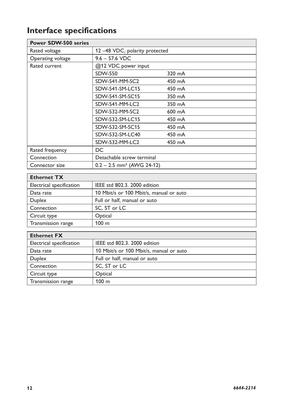# **Interface specifications**

| <b>Power SDW-500 series</b> |                                         |                  |
|-----------------------------|-----------------------------------------|------------------|
| Rated voltage               | 12-48 VDC, polarity protected           |                  |
| Operating voltage           | $9.6 - 57.6$ VDC                        |                  |
| Rated current               | @12 VDC power input                     |                  |
|                             | <b>SDW-550</b>                          | 320 mA           |
|                             | SDW-541-MM-SC2                          | 450 mA           |
|                             | SDW-541-SM-LC15                         | 450 mA           |
|                             | SDW-541-SM-SC15                         | 350 mA           |
|                             | SDW-541-MM-LC2                          | 350 mA           |
|                             | SDW-532-MM-SC2                          | $600 \text{ mA}$ |
|                             | SDW-532-SM-LC15                         | 450 mA           |
|                             | SDW-532-SM-SC15                         | 450 mA           |
|                             | SDW-532-SM-LC40                         | 450 mA           |
|                             | SDW-532-MM-LC2                          | 450 mA           |
| Rated frequency             | DC.                                     |                  |
| Connection                  | Detachable screw terminal               |                  |
| Connector size              | $0.2 - 2.5$ mm <sup>2</sup> (AWG 24-12) |                  |

| <b>Ethernet TX</b>       |                                         |
|--------------------------|-----------------------------------------|
| Electrical specification | IEEE std 802.3, 2000 edition            |
| Data rate                | 10 Mbit/s or 100 Mbit/s, manual or auto |
| Duplex                   | Full or half, manual or auto            |
| Connection               | SC. ST or LC                            |
| Circuit type             | Optical                                 |
| Transmission range       | 100 <sub>m</sub>                        |

| <b>Ethernet FX</b>       |                                         |
|--------------------------|-----------------------------------------|
| Electrical specification | IEEE std 802.3, 2000 edition            |
| Data rate                | 10 Mbit/s or 100 Mbit/s, manual or auto |
| Duplex                   | Full or half, manual or auto            |
| Connection               | SC, ST or LC                            |
| Circuit type             | Optical                                 |
| Transmission range       | 100 <sub>m</sub>                        |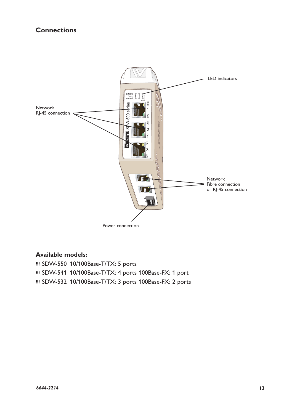# **Connections**



#### **Available models:**

… SDW-550 10/100Base-T/TX: 5 ports … SDW-541 10/100Base-T/TX: 4 ports 100Base-FX: 1 port … SDW-532 10/100Base-T/TX: 3 ports 100Base-FX: 2 ports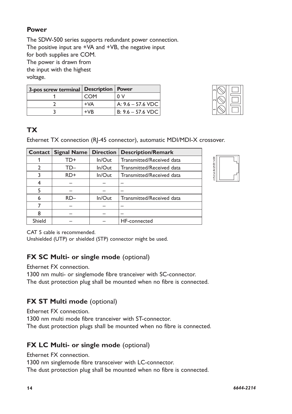# **Power**

The SDW-500 series supports redundant power connection. The positive input are +VA and +VB, the negative input for both supplies are COM. The power is drawn from the input with the highest voltage.

| 3-pos screw terminal Description   Power |       |                     |
|------------------------------------------|-------|---------------------|
|                                          | COM   | n v                 |
|                                          | $+VA$ | A: 9.6 - 57.6 VDC   |
|                                          | $+VB$ | B: $9.6 - 57.6$ VDC |



# **TX**

Ethernet TX connection (RJ-45 connector), automatic MDI/MDI-X crossover.

| Contact       | <b>Signal Name</b> | <b>Direction</b> | <b>Description/Remark</b> |
|---------------|--------------------|------------------|---------------------------|
|               | TD+                | $In/O$ ut        | Transmitted/Received data |
| $\mathcal{P}$ | TD–                | $In/O$ ut        | Transmitted/Received data |
|               | RD+                | $In/O$ ut        | Transmitted/Received data |
| 4             |                    |                  |                           |
| 5             |                    |                  |                           |
| 6             | RD-                | In/Out           | Transmitted/Received data |
|               |                    |                  |                           |
| 8             |                    |                  |                           |
| Shield        |                    |                  | HF-connected              |



CAT 5 cable is recommended.

Unshielded (UTP) or shielded (STP) connector might be used.

# **FX SC Multi- or single mode (optional)**

Ethernet FX connection.

1300 nm multi- or singlemode fibre tranceiver with SC-connector. The dust protection plug shall be mounted when no fibre is connected.

# **FX ST Multi mode (optional)**

Ethernet FX connection.

1300 nm multi mode fibre tranceiver with ST-connector.

The dust protection plugs shall be mounted when no fibre is connected.

# **FX LC Multi- or single mode (optional)**

Ethernet FX connection.

1300 nm singlemode fibre transceiver with LC-connector.

The dust protection plug shall be mounted when no fibre is connected.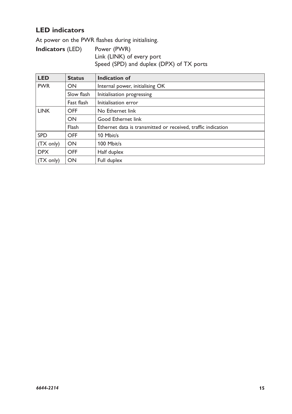# **LED indicators**

At power on the PWR flashes during initialising.

**Indicators** (LED) Power (PWR) Link (LINK) of every port Speed (SPD) and duplex (DPX) of TX ports

| LED                 | <b>Status</b> | Indication of                                                |  |
|---------------------|---------------|--------------------------------------------------------------|--|
| <b>PWR</b><br>ON    |               | Internal power, initialising OK                              |  |
|                     | Slow flash    | Initialisation progressing                                   |  |
|                     | Fast flash    | Initialisation error                                         |  |
| <b>LINK</b>         | OFF           | No Ethernet link                                             |  |
|                     | ON            | Good Ethernet link                                           |  |
|                     | Flash         | Ethernet data is transmitted or received, traffic indication |  |
| <b>SPD</b>          | OFF           | 10 Mbit/s                                                    |  |
| $(TX \text{ only})$ | ON            | 100 Mbit/s                                                   |  |
| <b>DPX</b>          | OFF           | Half duplex                                                  |  |
| $(TX \text{ only})$ | ON            | Full duplex                                                  |  |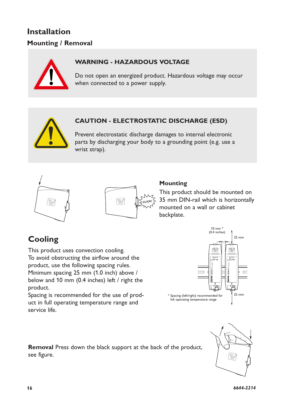# **Installation Mounting / Removal**



# **WARNING - HAZARDOUS VOLTAGE**

Do not open an energized product. Hazardous voltage may occur when connected to a power supply.

# **CAUTION - ELECTROSTATIC DISCHARGE (ESD)**

Prevent electrostatic discharge damages to internal electronic parts by discharging your body to a grounding point (e.g. use a wrist strap).





#### **Mounting**

This product should be mounted on 35 mm DIN-rail which is horizontally mounted on a wall or cabinet backplate.

# **Cooling**

To avoid obstructing the airflow around the This product uses convection cooling. product, use the following spacing rules. Minimum spacing 25 mm (1.0 inch) above / below and 10 mm (0.4 inches) left / right the product.

Spacing is recommended for the use of product in full operating temperature range and service life.



**Removal** Press down the black support at the back of the product, see figure.

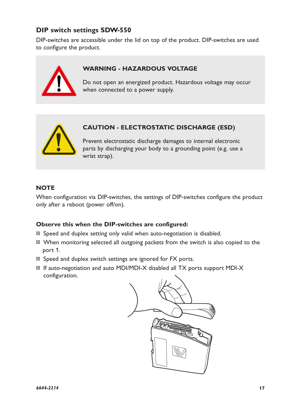# **DIP switch settings SDW-550**

DIP-switches are accessible under the lid on top of the product. DIP-switches are used to configure the product.



# **WARNING - HAZARDOUS VOLTAGE**

Do not open an energized product. Hazardous voltage may occur when connected to a power supply.



# **CAUTION - ELECTROSTATIC DISCHARGE (ESD)**

Prevent electrostatic discharge damages to internal electronic parts by discharging your body to a grounding point (e.g. use a wrist strap).

# **NOTE**

When configuration via DIP-switches, the settings of DIP-switches configure the product only after a reboot (power off/on).

# **Observe this when the DIP-switches are configured:**

- … Speed and duplex setting only valid when auto-negotiation is disabled.
- … When monitoring selected all outgoing packets from the switch is also copied to the port 1.
- … Speed and duplex switch settings are ignored for FX ports.
- … If auto-negotiation and auto MDI/MDI-X disabled all TX ports support MDI-X configuration.

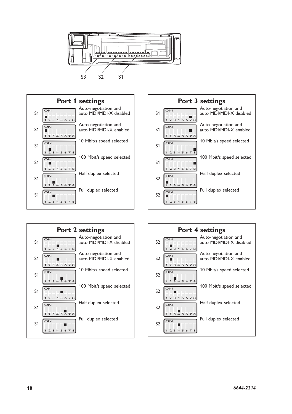







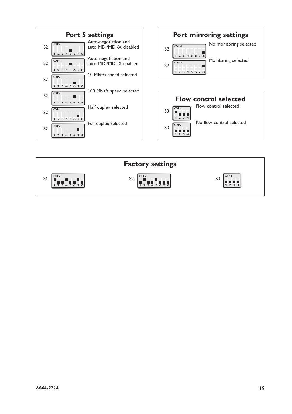

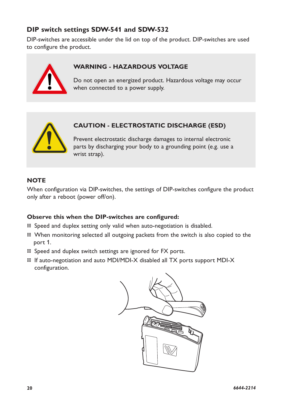# **DIP switch settings SDW-541 and SDW-532**

DIP-switches are accessible under the lid on top of the product. DIP-switches are used to configure the product.



# **WARNING - HAZARDOUS VOLTAGE**

Do not open an energized product. Hazardous voltage may occur when connected to a power supply.



# **CAUTION - ELECTROSTATIC DISCHARGE (ESD)**

Prevent electrostatic discharge damages to internal electronic parts by discharging your body to a grounding point (e.g. use a wrist strap).

# **NOTE**

When configuration via DIP-switches, the settings of DIP-switches configure the product only after a reboot (power off/on).

# **Observe this when the DIP-switches are configured:**

- … Speed and duplex setting only valid when auto-negotiation is disabled.
- … When monitoring selected all outgoing packets from the switch is also copied to the port 1.
- … Speed and duplex switch settings are ignored for FX ports.
- … If auto-negotiation and auto MDI/MDI-X disabled all TX ports support MDI-X configuration.

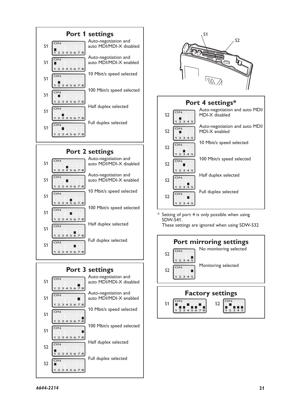





#### **Port 4 settings\*** Auto-negotiation and auto MDI/



\* Setting of port 4 is only possible when using SDW-541.

These settings are ignored when using SDW-532